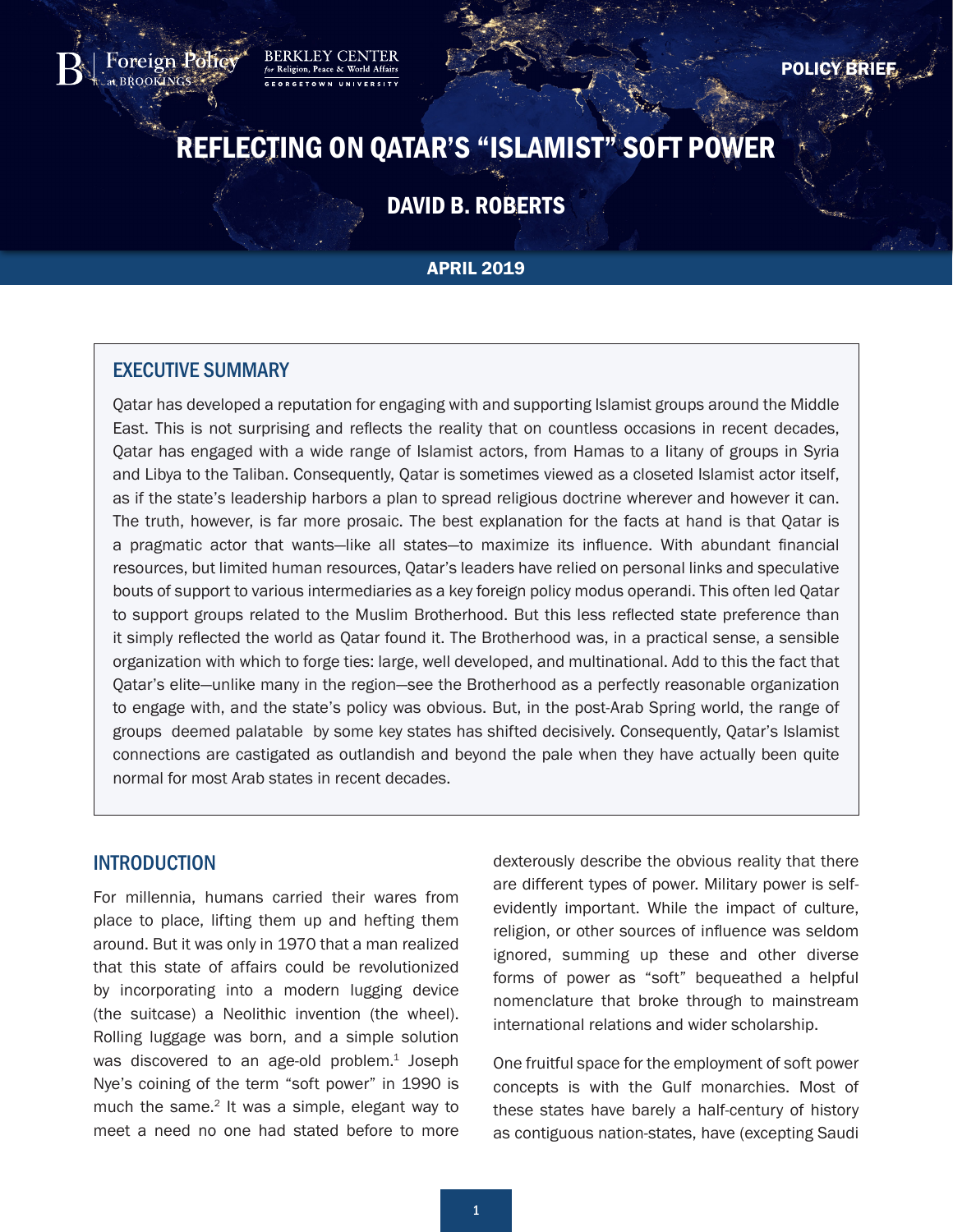REFLECTING ON QATAR'S "ISLAMIST" SOFT POWER

# DAVID B. ROBERTS

#### APRIL 2019

# EXECUTIVE SUMMARY

<span id="page-0-0"></span>oreign Polic

**BERKLEY** 

Qatar has developed a reputation for engaging with and supporting Islamist groups around the Middle East. This is not surprising and reflects the reality that on countless occasions in recent decades, Qatar has engaged with a wide range of Islamist actors, from Hamas to a litany of groups in Syria and Libya to the Taliban. Consequently, Qatar is sometimes viewed as a closeted Islamist actor itself, as if the state's leadership harbors a plan to spread religious doctrine wherever and however it can. The truth, however, is far more prosaic. The best explanation for the facts at hand is that Qatar is a pragmatic actor that wants—like all states—to maximize its influence. With abundant financial resources, but limited human resources, Qatar's leaders have relied on personal links and speculative bouts of support to various intermediaries as a key foreign policy modus operandi. This often led Qatar to support groups related to the Muslim Brotherhood. But this less reflected state preference than it simply reflected the world as Qatar found it. The Brotherhood was, in a practical sense, a sensible organization with which to forge ties: large, well developed, and multinational. Add to this the fact that Qatar's elite—unlike many in the region—see the Brotherhood as a perfectly reasonable organization to engage with, and the state's policy was obvious. But, in the post-Arab Spring world, the range of groups deemed palatable by some key states has shifted decisively. Consequently, Qatar's Islamist connections are castigated as outlandish and beyond the pale when they have actually been quite normal for most Arab states in recent decades.

#### **INTRODUCTION**

For millennia, humans carried their wares from place to place, lifting them up and hefting them around. But it was only in 1970 that a man realized that this state of affairs could be revolutionized by incorporating into a modern lugging device (the suitcase) a Neolithic invention (the wheel). Rolling luggage was born, and a simple solution was discovered to an age-old problem.<sup>1</sup> Joseph Nye's coining of the term "soft power" in 1990 is much the same. $2$  It was a simple, elegant way to meet a need no one had stated before to more

dexterously describe the obvious reality that there are different types of power. Military power is selfevidently important. While the impact of culture, religion, or other sources of influence was seldom ignored, summing up these and other diverse forms of power as "soft" bequeathed a helpful nomenclature that broke through to mainstream international relations and wider scholarship.

One fruitful space for the employment of soft power concepts is with the Gulf monarchies. Most of these states have barely a half-century of history as contiguous nation-states, have (excepting Saudi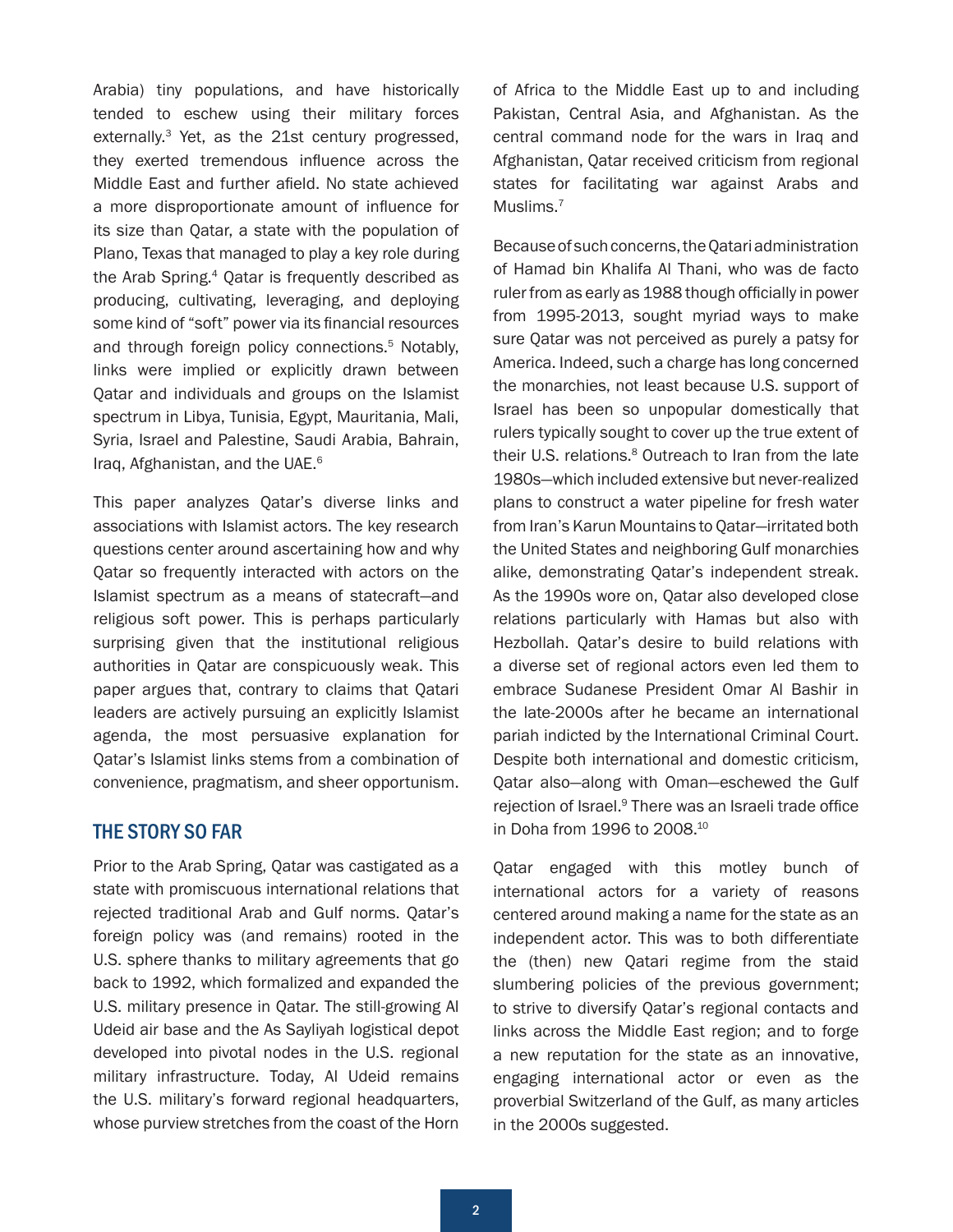<span id="page-1-0"></span>Arabia) tiny populations, and have historically tended to eschew using their military forces externally.[3](#page-9-0) Yet, as the 21st century progressed, they exerted tremendous influence across the Middle East and further afield. No state achieved a more disproportionate amount of influence for its size than Qatar, a state with the population of Plano, Texas that managed to play a key role during the Arab Spring.<sup>[4](#page-9-0)</sup> Oatar is frequently described as producing, cultivating, leveraging, and deploying some kind of "soft" power via its financial resources and through foreign policy connections.<sup>[5](#page-9-0)</sup> Notably, links were implied or explicitly drawn between Qatar and individuals and groups on the Islamist spectrum in Libya, Tunisia, Egypt, Mauritania, Mali, Syria, Israel and Palestine, Saudi Arabia, Bahrain, Iraq, Afghanistan, and the UAE.<sup>[6](#page-9-0)</sup>

This paper analyzes Qatar's diverse links and associations with Islamist actors. The key research questions center around ascertaining how and why Qatar so frequently interacted with actors on the Islamist spectrum as a means of statecraft—and religious soft power. This is perhaps particularly surprising given that the institutional religious authorities in Qatar are conspicuously weak. This paper argues that, contrary to claims that Qatari leaders are actively pursuing an explicitly Islamist agenda, the most persuasive explanation for Qatar's Islamist links stems from a combination of convenience, pragmatism, and sheer opportunism.

# THE STORY SO FAR

Prior to the Arab Spring, Qatar was castigated as a state with promiscuous international relations that rejected traditional Arab and Gulf norms. Qatar's foreign policy was (and remains) rooted in the U.S. sphere thanks to military agreements that go back to 1992, which formalized and expanded the U.S. military presence in Qatar. The still-growing Al Udeid air base and the As Sayliyah logistical depot developed into pivotal nodes in the U.S. regional military infrastructure. Today, Al Udeid remains the U.S. military's forward regional headquarters, whose purview stretches from the coast of the Horn of Africa to the Middle East up to and including Pakistan, Central Asia, and Afghanistan. As the central command node for the wars in Iraq and Afghanistan, Qatar received criticism from regional states for facilitating war against Arabs and Muslims.<sup>[7](#page-9-0)</sup>

Because of such concerns, the Qatari administration of Hamad bin Khalifa Al Thani, who was de facto ruler from as early as 1988 though officially in power from 1995-2013, sought myriad ways to make sure Qatar was not perceived as purely a patsy for America. Indeed, such a charge has long concerned the monarchies, not least because U.S. support of Israel has been so unpopular domestically that rulers typically sought to cover up the true extent of their U.S. relations.<sup>8</sup> Outreach to Iran from the late 1980s—which included extensive but never-realized plans to construct a water pipeline for fresh water from Iran's Karun Mountains to Qatar—irritated both the United States and neighboring Gulf monarchies alike, demonstrating Qatar's independent streak. As the 1990s wore on, Qatar also developed close relations particularly with Hamas but also with Hezbollah. Qatar's desire to build relations with a diverse set of regional actors even led them to embrace Sudanese President Omar Al Bashir in the late-2000s after he became an international pariah indicted by the International Criminal Court. Despite both international and domestic criticism, Qatar also—along with Oman—eschewed the Gulf rejection of Israel.<sup>[9](#page-9-0)</sup> There was an Israeli trade office in Doha from 1996 to 2008[.10](#page-9-0)

Qatar engaged with this motley bunch of international actors for a variety of reasons centered around making a name for the state as an independent actor. This was to both differentiate the (then) new Qatari regime from the staid slumbering policies of the previous government; to strive to diversify Qatar's regional contacts and links across the Middle East region; and to forge a new reputation for the state as an innovative, engaging international actor or even as the proverbial Switzerland of the Gulf, as many articles in the 2000s suggested.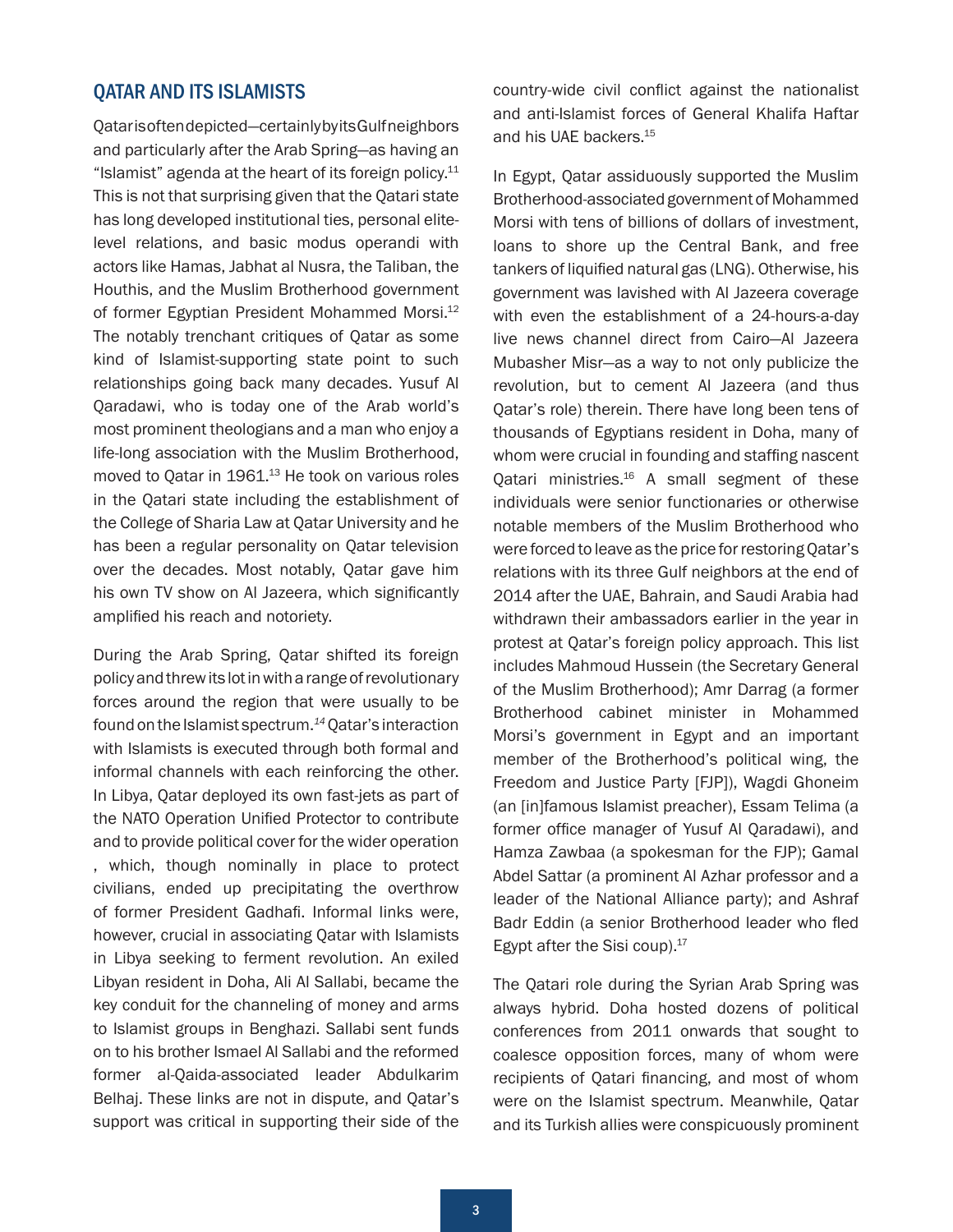## <span id="page-2-0"></span>QATAR AND ITS ISLAMISTS

Qatar is often depicted—certainly by its Gulf neighbors and particularly after the Arab Spring—as having an "Islamist" agenda at the heart of its foreign policy. $11$ This is not that surprising given that the Qatari state has long developed institutional ties, personal elitelevel relations, and basic modus operandi with actors like Hamas, Jabhat al Nusra, the Taliban, the Houthis, and the Muslim Brotherhood government of former Egyptian President Mohammed Morsi[.12](#page-9-0) The notably trenchant critiques of Qatar as some kind of Islamist-supporting state point to such relationships going back many decades. Yusuf Al Qaradawi, who is today one of the Arab world's most prominent theologians and a man who enjoy a life-long association with the Muslim Brotherhood, moved to Qatar in 1961.<sup>13</sup> He took on various roles in the Qatari state including the establishment of the College of Sharia Law at Qatar University and he has been a regular personality on Qatar television over the decades. Most notably, Qatar gave him his own TV show on Al Jazeera, which significantly amplified his reach and notoriety.

During the Arab Spring, Qatar shifted its foreign policy and threw its lot in with a range of revolutionary forces around the region that were usually to be found on the Islamist spectrum.*[14](#page-9-0)* Qatar's interaction with Islamists is executed through both formal and informal channels with each reinforcing the other. In Libya, Qatar deployed its own fast-jets as part of the NATO Operation Unified Protector to contribute and to provide political cover for the wider operation , which, though nominally in place to protect civilians, ended up precipitating the overthrow of former President Gadhafi. Informal links were, however, crucial in associating Qatar with Islamists in Libya seeking to ferment revolution. An exiled Libyan resident in Doha, Ali Al Sallabi, became the key conduit for the channeling of money and arms to Islamist groups in Benghazi. Sallabi sent funds on to his brother Ismael Al Sallabi and the reformed former al-Qaida-associated leader Abdulkarim Belhaj. These links are not in dispute, and Qatar's support was critical in supporting their side of the country-wide civil conflict against the nationalist and anti-Islamist forces of General Khalifa Haftar and his UAE backers[.15](#page-9-0)

In Egypt, Qatar assiduously supported the Muslim Brotherhood-associated government of Mohammed Morsi with tens of billions of dollars of investment, loans to shore up the Central Bank, and free tankers of liquified natural gas (LNG). Otherwise, his government was lavished with Al Jazeera coverage with even the establishment of a 24-hours-a-day live news channel direct from Cairo—Al Jazeera Mubasher Misr—as a way to not only publicize the revolution, but to cement Al Jazeera (and thus Qatar's role) therein. There have long been tens of thousands of Egyptians resident in Doha, many of whom were crucial in founding and staffing nascent Qatari ministries.<sup>16</sup> A small segment of these individuals were senior functionaries or otherwise notable members of the Muslim Brotherhood who were forced to leave as the price for restoring Qatar's relations with its three Gulf neighbors at the end of 2014 after the UAE, Bahrain, and Saudi Arabia had withdrawn their ambassadors earlier in the year in protest at Qatar's foreign policy approach. This list includes Mahmoud Hussein (the Secretary General of the Muslim Brotherhood); Amr Darrag (a former Brotherhood cabinet minister in Mohammed Morsi's government in Egypt and an important member of the Brotherhood's political wing, the Freedom and Justice Party [FJP]), Wagdi Ghoneim (an [in]famous Islamist preacher), Essam Telima (a former office manager of Yusuf Al Qaradawi), and Hamza Zawbaa (a spokesman for the FJP); Gamal Abdel Sattar (a prominent Al Azhar professor and a leader of the National Alliance party); and Ashraf Badr Eddin (a senior Brotherhood leader who fled Egypt after the Sisi coup). $17$ 

The Qatari role during the Syrian Arab Spring was always hybrid. Doha hosted dozens of political conferences from 2011 onwards that sought to coalesce opposition forces, many of whom were recipients of Qatari financing, and most of whom were on the Islamist spectrum. Meanwhile, Qatar and its Turkish allies were conspicuously prominent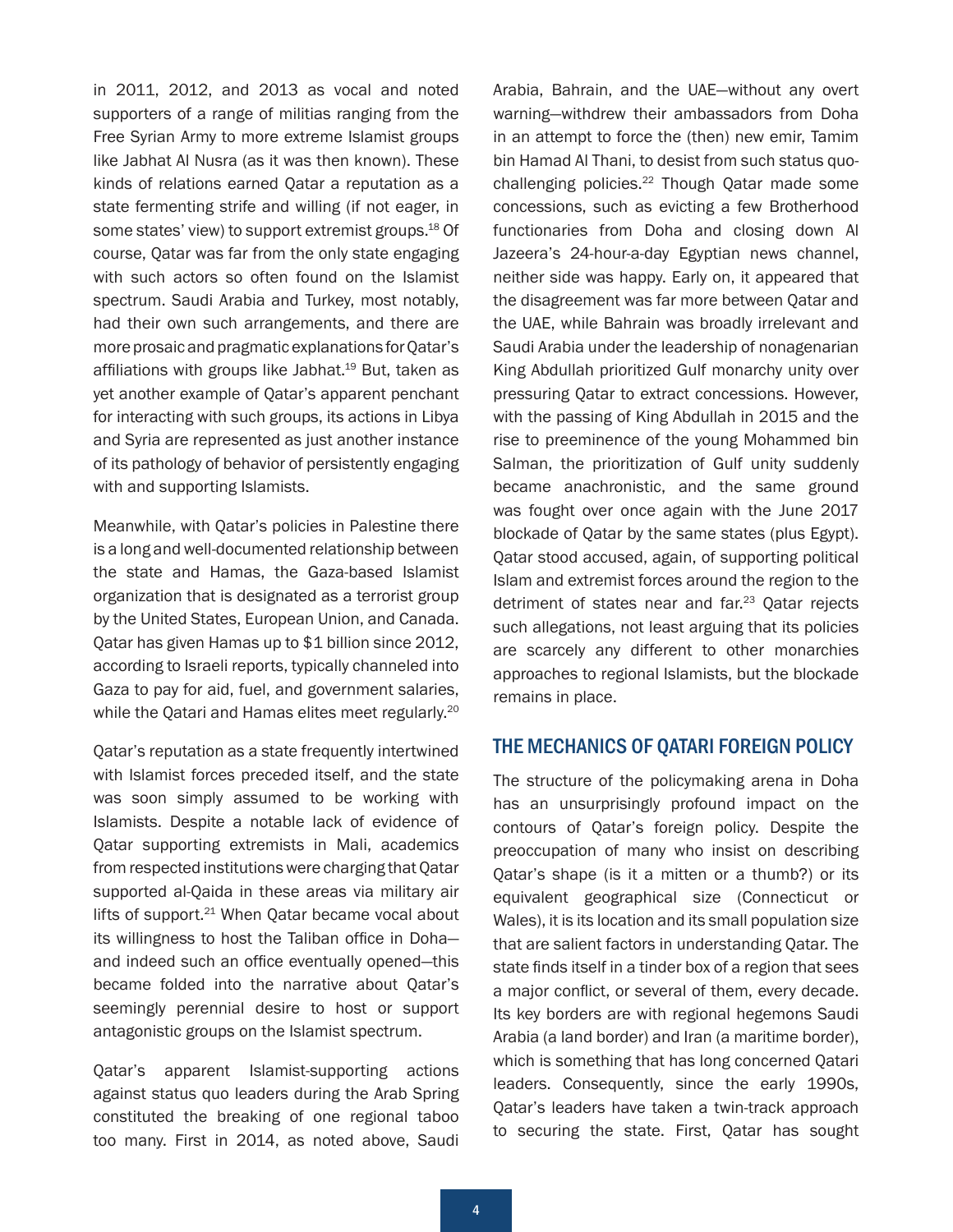<span id="page-3-0"></span>in 2011, 2012, and 2013 as vocal and noted supporters of a range of militias ranging from the Free Syrian Army to more extreme Islamist groups like Jabhat Al Nusra (as it was then known). These kinds of relations earned Qatar a reputation as a state fermenting strife and willing (if not eager, in some states' view) to support extremist groups.<sup>18</sup> Of course, Qatar was far from the only state engaging with such actors so often found on the Islamist spectrum. Saudi Arabia and Turkey, most notably, had their own such arrangements, and there are more prosaic and pragmatic explanations for Qatar's affiliations with groups like Jabhat.<sup>19</sup> But, taken as yet another example of Qatar's apparent penchant for interacting with such groups, its actions in Libya and Syria are represented as just another instance of its pathology of behavior of persistently engaging with and supporting Islamists.

Meanwhile, with Qatar's policies in Palestine there is a long and well-documented relationship between the state and Hamas, the Gaza-based Islamist organization that is designated as a terrorist group by the United States, European Union, and Canada. Qatar has given Hamas up to \$1 billion since 2012, according to Israeli reports, typically channeled into Gaza to pay for aid, fuel, and government salaries, while the Qatari and Hamas elites meet regularly.<sup>20</sup>

Qatar's reputation as a state frequently intertwined with Islamist forces preceded itself, and the state was soon simply assumed to be working with Islamists. Despite a notable lack of evidence of Qatar supporting extremists in Mali, academics from respected institutions were charging that Qatar supported al-Qaida in these areas via military air lifts of support.<sup>21</sup> When Qatar became vocal about its willingness to host the Taliban office in Doha and indeed such an office eventually opened—this became folded into the narrative about Qatar's seemingly perennial desire to host or support antagonistic groups on the Islamist spectrum.

Qatar's apparent Islamist-supporting actions against status quo leaders during the Arab Spring constituted the breaking of one regional taboo too many. First in 2014, as noted above, Saudi

Arabia, Bahrain, and the UAE—without any overt warning—withdrew their ambassadors from Doha in an attempt to force the (then) new emir, Tamim bin Hamad Al Thani, to desist from such status quochallenging policies.[22](#page-10-0) Though Qatar made some concessions, such as evicting a few Brotherhood functionaries from Doha and closing down Al Jazeera's 24-hour-a-day Egyptian news channel, neither side was happy. Early on, it appeared that the disagreement was far more between Qatar and the UAE, while Bahrain was broadly irrelevant and Saudi Arabia under the leadership of nonagenarian King Abdullah prioritized Gulf monarchy unity over pressuring Qatar to extract concessions. However, with the passing of King Abdullah in 2015 and the rise to preeminence of the young Mohammed bin Salman, the prioritization of Gulf unity suddenly became anachronistic, and the same ground was fought over once again with the June 2017 blockade of Qatar by the same states (plus Egypt). Qatar stood accused, again, of supporting political Islam and extremist forces around the region to the detriment of states near and far.<sup>[23](#page-10-0)</sup> Oatar rejects such allegations, not least arguing that its policies are scarcely any different to other monarchies approaches to regional Islamists, but the blockade remains in place.

#### THE MECHANICS OF QATARI FOREIGN POLICY

The structure of the policymaking arena in Doha has an unsurprisingly profound impact on the contours of Qatar's foreign policy. Despite the preoccupation of many who insist on describing Qatar's shape (is it a mitten or a thumb?) or its equivalent geographical size (Connecticut or Wales), it is its location and its small population size that are salient factors in understanding Qatar. The state finds itself in a tinder box of a region that sees a major conflict, or several of them, every decade. Its key borders are with regional hegemons Saudi Arabia (a land border) and Iran (a maritime border), which is something that has long concerned Qatari leaders. Consequently, since the early 1990s, Qatar's leaders have taken a twin-track approach to securing the state. First, Qatar has sought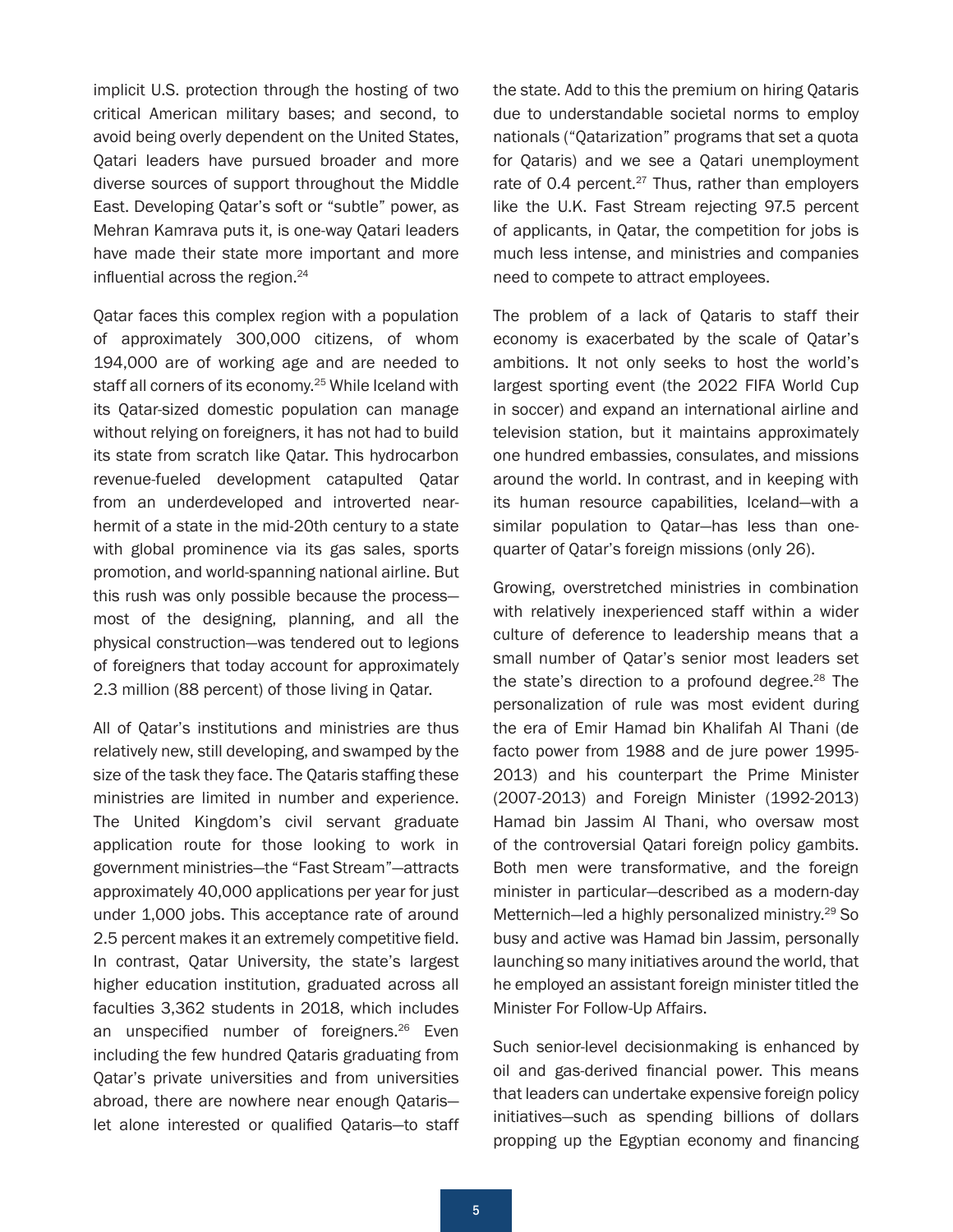<span id="page-4-0"></span>implicit U.S. protection through the hosting of two critical American military bases; and second, to avoid being overly dependent on the United States, Qatari leaders have pursued broader and more diverse sources of support throughout the Middle East. Developing Qatar's soft or "subtle" power, as Mehran Kamrava puts it, is one-way Qatari leaders have made their state more important and more influential across the region.<sup>[24](#page-10-0)</sup>

Qatar faces this complex region with a population of approximately 300,000 citizens, of whom 194,000 are of working age and are needed to staff all corners of its economy.<sup>[25](#page-10-0)</sup> While Iceland with its Qatar-sized domestic population can manage without relying on foreigners, it has not had to build its state from scratch like Qatar. This hydrocarbon revenue-fueled development catapulted Qatar from an underdeveloped and introverted nearhermit of a state in the mid-20th century to a state with global prominence via its gas sales, sports promotion, and world-spanning national airline. But this rush was only possible because the process most of the designing, planning, and all the physical construction—was tendered out to legions of foreigners that today account for approximately 2.3 million (88 percent) of those living in Qatar.

All of Qatar's institutions and ministries are thus relatively new, still developing, and swamped by the size of the task they face. The Qataris staffing these ministries are limited in number and experience. The United Kingdom's civil servant graduate application route for those looking to work in government ministries—the "Fast Stream"—attracts approximately 40,000 applications per year for just under 1,000 jobs. This acceptance rate of around 2.5 percent makes it an extremely competitive field. In contrast, Qatar University, the state's largest higher education institution, graduated across all faculties 3,362 students in 2018, which includes an unspecified number of foreigners.<sup>[26](#page-10-0)</sup> Even including the few hundred Qataris graduating from Qatar's private universities and from universities abroad, there are nowhere near enough Qataris let alone interested or qualified Qataris—to staff the state. Add to this the premium on hiring Qataris due to understandable societal norms to employ nationals ("Qatarization" programs that set a quota for Qataris) and we see a Qatari unemployment rate of 0.4 percent. $27$  Thus, rather than employers like the U.K. Fast Stream rejecting 97.5 percent of applicants, in Qatar, the competition for jobs is much less intense, and ministries and companies need to compete to attract employees.

The problem of a lack of Qataris to staff their economy is exacerbated by the scale of Qatar's ambitions. It not only seeks to host the world's largest sporting event (the 2022 FIFA World Cup in soccer) and expand an international airline and television station, but it maintains approximately one hundred embassies, consulates, and missions around the world. In contrast, and in keeping with its human resource capabilities, Iceland—with a similar population to Qatar—has less than onequarter of Qatar's foreign missions (only 26).

Growing, overstretched ministries in combination with relatively inexperienced staff within a wider culture of deference to leadership means that a small number of Qatar's senior most leaders set the state's direction to a profound degree. $28$  The personalization of rule was most evident during the era of Emir Hamad bin Khalifah Al Thani (de facto power from 1988 and de jure power 1995- 2013) and his counterpart the Prime Minister (2007-2013) and Foreign Minister (1992-2013) Hamad bin Jassim Al Thani, who oversaw most of the controversial Qatari foreign policy gambits. Both men were transformative, and the foreign minister in particular—described as a modern-day Metternich—led a highly personalized ministry.<sup>[29](#page-10-0)</sup> So busy and active was Hamad bin Jassim, personally launching so many initiatives around the world, that he employed an assistant foreign minister titled the Minister For Follow-Up Affairs.

Such senior-level decisionmaking is enhanced by oil and gas-derived financial power. This means that leaders can undertake expensive foreign policy initiatives—such as spending billions of dollars propping up the Egyptian economy and financing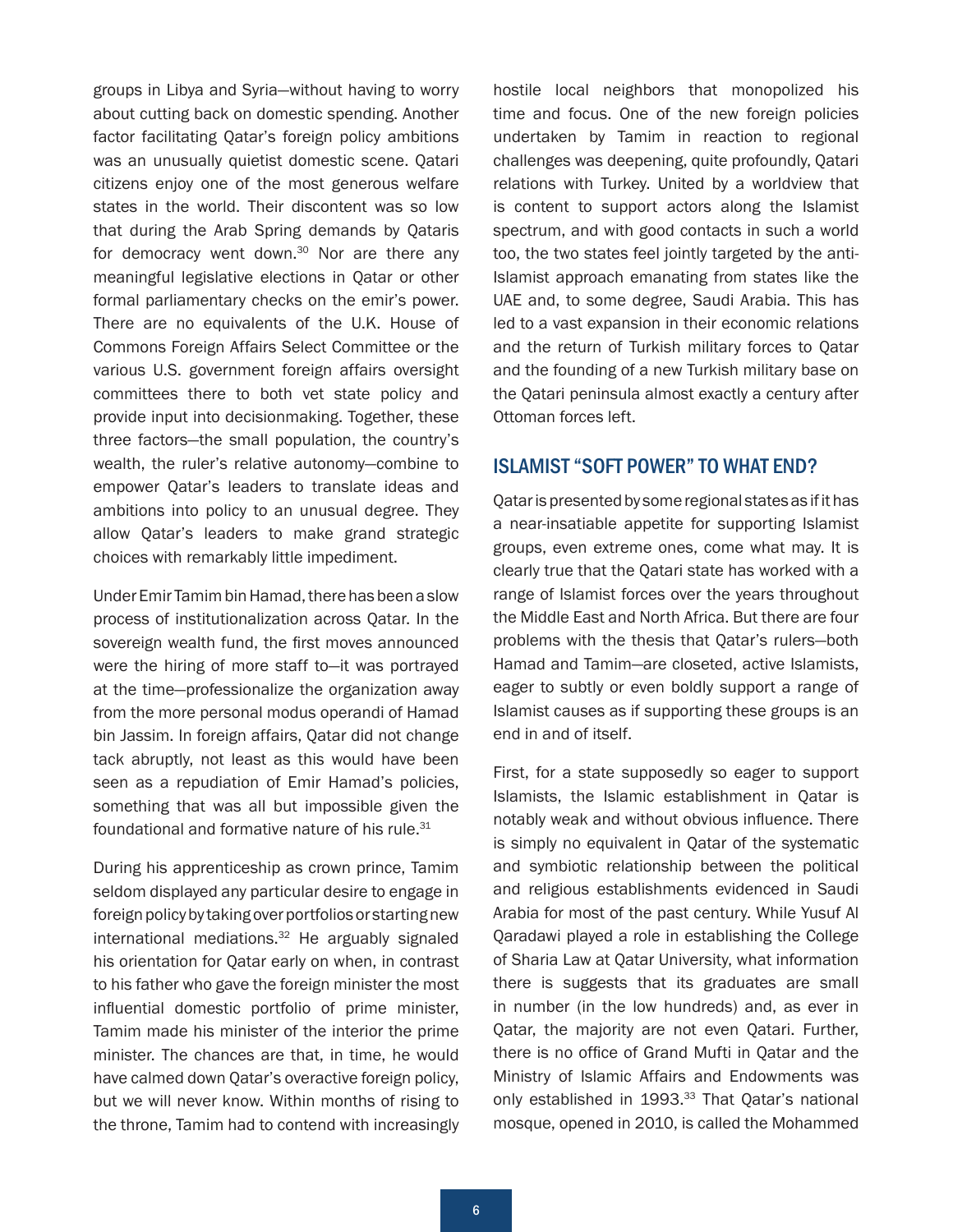<span id="page-5-0"></span>groups in Libya and Syria—without having to worry about cutting back on domestic spending. Another factor facilitating Qatar's foreign policy ambitions was an unusually quietist domestic scene. Qatari citizens enjoy one of the most generous welfare states in the world. Their discontent was so low that during the Arab Spring demands by Qataris for democracy went down. $30$  Nor are there any meaningful legislative elections in Qatar or other formal parliamentary checks on the emir's power. There are no equivalents of the U.K. House of Commons Foreign Affairs Select Committee or the various U.S. government foreign affairs oversight committees there to both vet state policy and provide input into decisionmaking. Together, these three factors—the small population, the country's wealth, the ruler's relative autonomy—combine to empower Qatar's leaders to translate ideas and ambitions into policy to an unusual degree. They allow Qatar's leaders to make grand strategic choices with remarkably little impediment.

Under Emir Tamim bin Hamad, there has been a slow process of institutionalization across Qatar. In the sovereign wealth fund, the first moves announced were the hiring of more staff to—it was portrayed at the time—professionalize the organization away from the more personal modus operandi of Hamad bin Jassim. In foreign affairs, Qatar did not change tack abruptly, not least as this would have been seen as a repudiation of Emir Hamad's policies, something that was all but impossible given the foundational and formative nature of his rule.<sup>[31](#page-10-0)</sup>

During his apprenticeship as crown prince, Tamim seldom displayed any particular desire to engage in foreign policy by taking over portfolios or starting new international mediations. $32$  He arguably signaled his orientation for Qatar early on when, in contrast to his father who gave the foreign minister the most influential domestic portfolio of prime minister, Tamim made his minister of the interior the prime minister. The chances are that, in time, he would have calmed down Qatar's overactive foreign policy, but we will never know. Within months of rising to the throne, Tamim had to contend with increasingly

hostile local neighbors that monopolized his time and focus. One of the new foreign policies undertaken by Tamim in reaction to regional challenges was deepening, quite profoundly, Qatari relations with Turkey. United by a worldview that is content to support actors along the Islamist spectrum, and with good contacts in such a world too, the two states feel jointly targeted by the anti-Islamist approach emanating from states like the UAE and, to some degree, Saudi Arabia. This has led to a vast expansion in their economic relations and the return of Turkish military forces to Qatar and the founding of a new Turkish military base on the Qatari peninsula almost exactly a century after Ottoman forces left.

# ISLAMIST "SOFT POWER" TO WHAT END?

Qatar is presented by some regional states as if it has a near-insatiable appetite for supporting Islamist groups, even extreme ones, come what may. It is clearly true that the Qatari state has worked with a range of Islamist forces over the years throughout the Middle East and North Africa. But there are four problems with the thesis that Qatar's rulers—both Hamad and Tamim—are closeted, active Islamists, eager to subtly or even boldly support a range of Islamist causes as if supporting these groups is an end in and of itself.

First, for a state supposedly so eager to support Islamists, the Islamic establishment in Qatar is notably weak and without obvious influence. There is simply no equivalent in Qatar of the systematic and symbiotic relationship between the political and religious establishments evidenced in Saudi Arabia for most of the past century. While Yusuf Al Qaradawi played a role in establishing the College of Sharia Law at Qatar University, what information there is suggests that its graduates are small in number (in the low hundreds) and, as ever in Qatar, the majority are not even Qatari. Further, there is no office of Grand Mufti in Qatar and the Ministry of Islamic Affairs and Endowments was only established in 1993.<sup>[33](#page-10-0)</sup> That Oatar's national mosque, opened in 2010, is called the Mohammed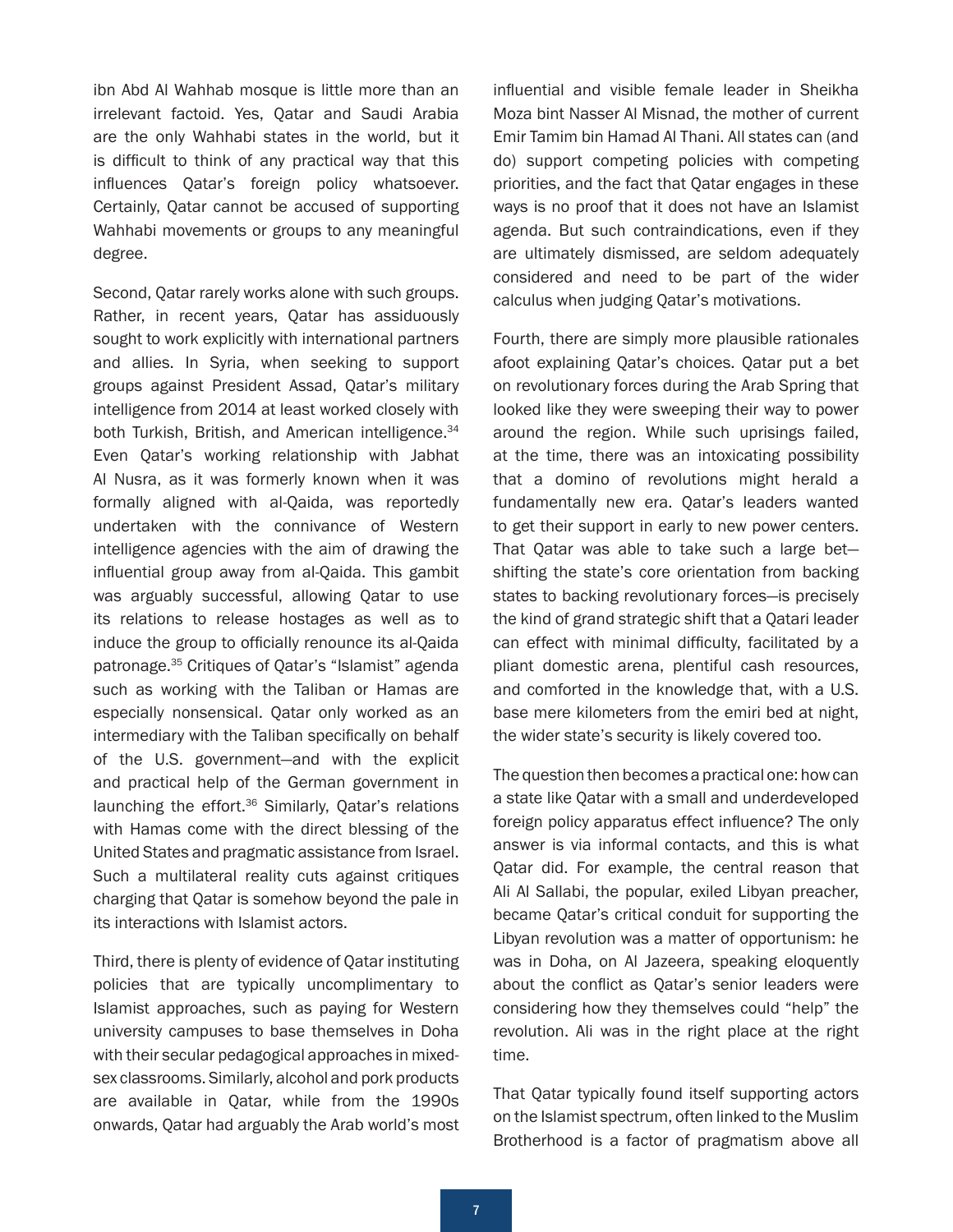<span id="page-6-0"></span>ibn Abd Al Wahhab mosque is little more than an irrelevant factoid. Yes, Qatar and Saudi Arabia are the only Wahhabi states in the world, but it is difficult to think of any practical way that this influences Qatar's foreign policy whatsoever. Certainly, Qatar cannot be accused of supporting Wahhabi movements or groups to any meaningful degree.

Second, Qatar rarely works alone with such groups. Rather, in recent years, Qatar has assiduously sought to work explicitly with international partners and allies. In Syria, when seeking to support groups against President Assad, Qatar's military intelligence from 2014 at least worked closely with both Turkish, British, and American intelligence.<sup>[34](#page-11-0)</sup> Even Qatar's working relationship with Jabhat Al Nusra, as it was formerly known when it was formally aligned with al-Qaida, was reportedly undertaken with the connivance of Western intelligence agencies with the aim of drawing the influential group away from al-Qaida. This gambit was arguably successful, allowing Qatar to use its relations to release hostages as well as to induce the group to officially renounce its al-Qaida patronage.[35](#page-11-0) Critiques of Qatar's "Islamist" agenda such as working with the Taliban or Hamas are especially nonsensical. Qatar only worked as an intermediary with the Taliban specifically on behalf of the U.S. government—and with the explicit and practical help of the German government in launching the effort.<sup>[36](#page-11-0)</sup> Similarly, Qatar's relations with Hamas come with the direct blessing of the United States and pragmatic assistance from Israel. Such a multilateral reality cuts against critiques charging that Qatar is somehow beyond the pale in its interactions with Islamist actors.

Third, there is plenty of evidence of Qatar instituting policies that are typically uncomplimentary to Islamist approaches, such as paying for Western university campuses to base themselves in Doha with their secular pedagogical approaches in mixedsex classrooms. Similarly, alcohol and pork products are available in Qatar, while from the 1990s onwards, Qatar had arguably the Arab world's most influential and visible female leader in Sheikha Moza bint Nasser Al Misnad, the mother of current Emir Tamim bin Hamad Al Thani. All states can (and do) support competing policies with competing priorities, and the fact that Qatar engages in these ways is no proof that it does not have an Islamist agenda. But such contraindications, even if they are ultimately dismissed, are seldom adequately considered and need to be part of the wider calculus when judging Qatar's motivations.

Fourth, there are simply more plausible rationales afoot explaining Qatar's choices. Qatar put a bet on revolutionary forces during the Arab Spring that looked like they were sweeping their way to power around the region. While such uprisings failed, at the time, there was an intoxicating possibility that a domino of revolutions might herald a fundamentally new era. Qatar's leaders wanted to get their support in early to new power centers. That Qatar was able to take such a large bet shifting the state's core orientation from backing states to backing revolutionary forces—is precisely the kind of grand strategic shift that a Qatari leader can effect with minimal difficulty, facilitated by a pliant domestic arena, plentiful cash resources, and comforted in the knowledge that, with a U.S. base mere kilometers from the emiri bed at night, the wider state's security is likely covered too.

The question then becomes a practical one: how can a state like Qatar with a small and underdeveloped foreign policy apparatus effect influence? The only answer is via informal contacts, and this is what Qatar did. For example, the central reason that Ali Al Sallabi, the popular, exiled Libyan preacher, became Qatar's critical conduit for supporting the Libyan revolution was a matter of opportunism: he was in Doha, on Al Jazeera, speaking eloquently about the conflict as Qatar's senior leaders were considering how they themselves could "help" the revolution. Ali was in the right place at the right time.

That Qatar typically found itself supporting actors on the Islamist spectrum, often linked to the Muslim Brotherhood is a factor of pragmatism above all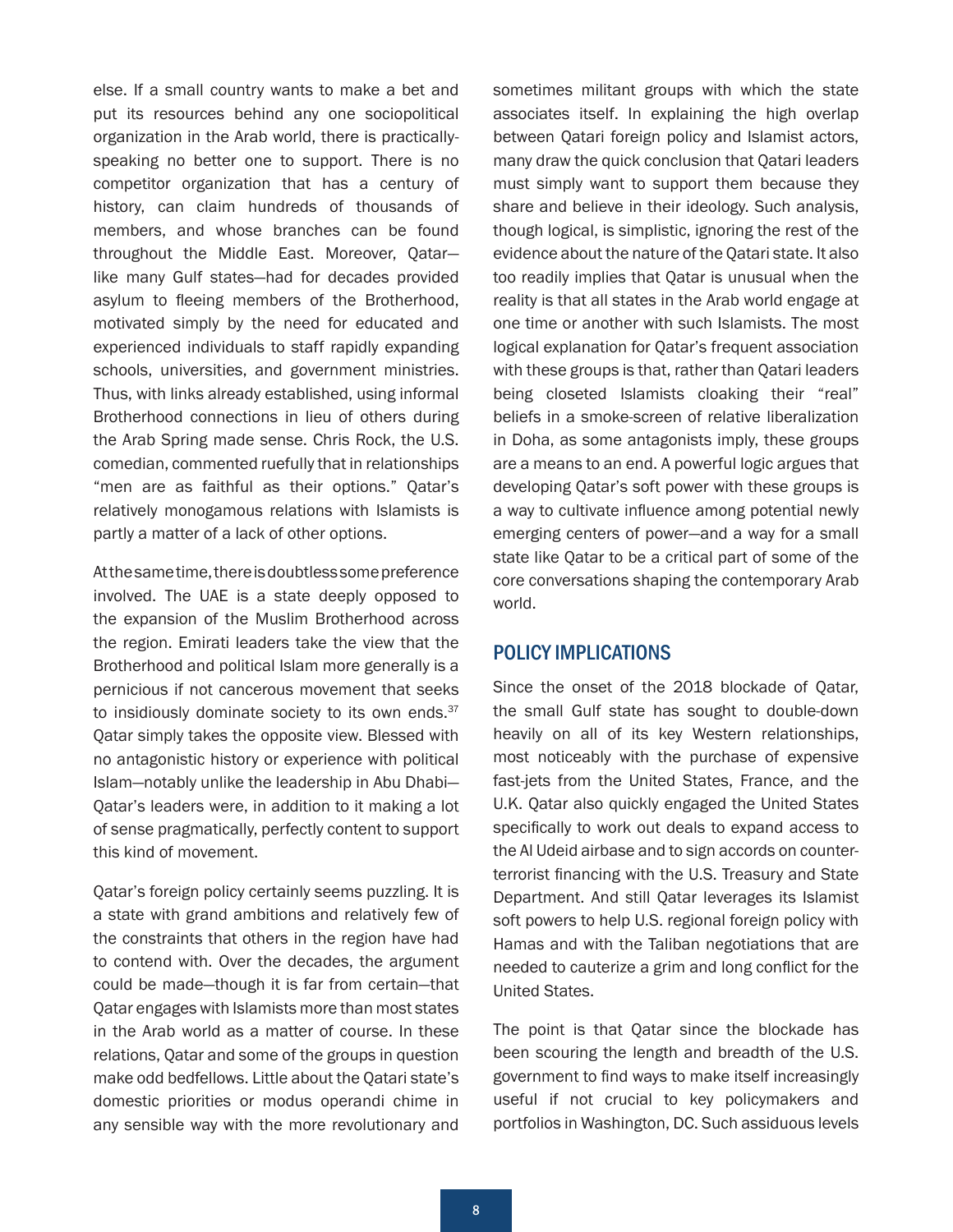<span id="page-7-0"></span>else. If a small country wants to make a bet and put its resources behind any one sociopolitical organization in the Arab world, there is practicallyspeaking no better one to support. There is no competitor organization that has a century of history, can claim hundreds of thousands of members, and whose branches can be found throughout the Middle East. Moreover, Qatar like many Gulf states—had for decades provided asylum to fleeing members of the Brotherhood, motivated simply by the need for educated and experienced individuals to staff rapidly expanding schools, universities, and government ministries. Thus, with links already established, using informal Brotherhood connections in lieu of others during the Arab Spring made sense. Chris Rock, the U.S. comedian, commented ruefully that in relationships "men are as faithful as their options." Qatar's relatively monogamous relations with Islamists is partly a matter of a lack of other options.

At the same time, there is doubtless some preference involved. The UAE is a state deeply opposed to the expansion of the Muslim Brotherhood across the region. Emirati leaders take the view that the Brotherhood and political Islam more generally is a pernicious if not cancerous movement that seeks to insidiously dominate society to its own ends. $37$ Qatar simply takes the opposite view. Blessed with no antagonistic history or experience with political Islam—notably unlike the leadership in Abu Dhabi— Qatar's leaders were, in addition to it making a lot of sense pragmatically, perfectly content to support this kind of movement.

Qatar's foreign policy certainly seems puzzling. It is a state with grand ambitions and relatively few of the constraints that others in the region have had to contend with. Over the decades, the argument could be made—though it is far from certain—that Qatar engages with Islamists more than most states in the Arab world as a matter of course. In these relations, Qatar and some of the groups in question make odd bedfellows. Little about the Qatari state's domestic priorities or modus operandi chime in any sensible way with the more revolutionary and sometimes militant groups with which the state associates itself. In explaining the high overlap between Qatari foreign policy and Islamist actors, many draw the quick conclusion that Qatari leaders must simply want to support them because they share and believe in their ideology. Such analysis, though logical, is simplistic, ignoring the rest of the evidence about the nature of the Qatari state. It also too readily implies that Qatar is unusual when the reality is that all states in the Arab world engage at one time or another with such Islamists. The most logical explanation for Qatar's frequent association with these groups is that, rather than Qatari leaders being closeted Islamists cloaking their "real" beliefs in a smoke-screen of relative liberalization in Doha, as some antagonists imply, these groups are a means to an end. A powerful logic argues that developing Qatar's soft power with these groups is a way to cultivate influence among potential newly emerging centers of power—and a way for a small state like Qatar to be a critical part of some of the core conversations shaping the contemporary Arab world.

## POLICY IMPLICATIONS

Since the onset of the 2018 blockade of Qatar, the small Gulf state has sought to double-down heavily on all of its key Western relationships, most noticeably with the purchase of expensive fast-jets from the United States, France, and the U.K. Qatar also quickly engaged the United States specifically to work out deals to expand access to the Al Udeid airbase and to sign accords on counterterrorist financing with the U.S. Treasury and State Department. And still Qatar leverages its Islamist soft powers to help U.S. regional foreign policy with Hamas and with the Taliban negotiations that are needed to cauterize a grim and long conflict for the United States.

The point is that Qatar since the blockade has been scouring the length and breadth of the U.S. government to find ways to make itself increasingly useful if not crucial to key policymakers and portfolios in Washington, DC. Such assiduous levels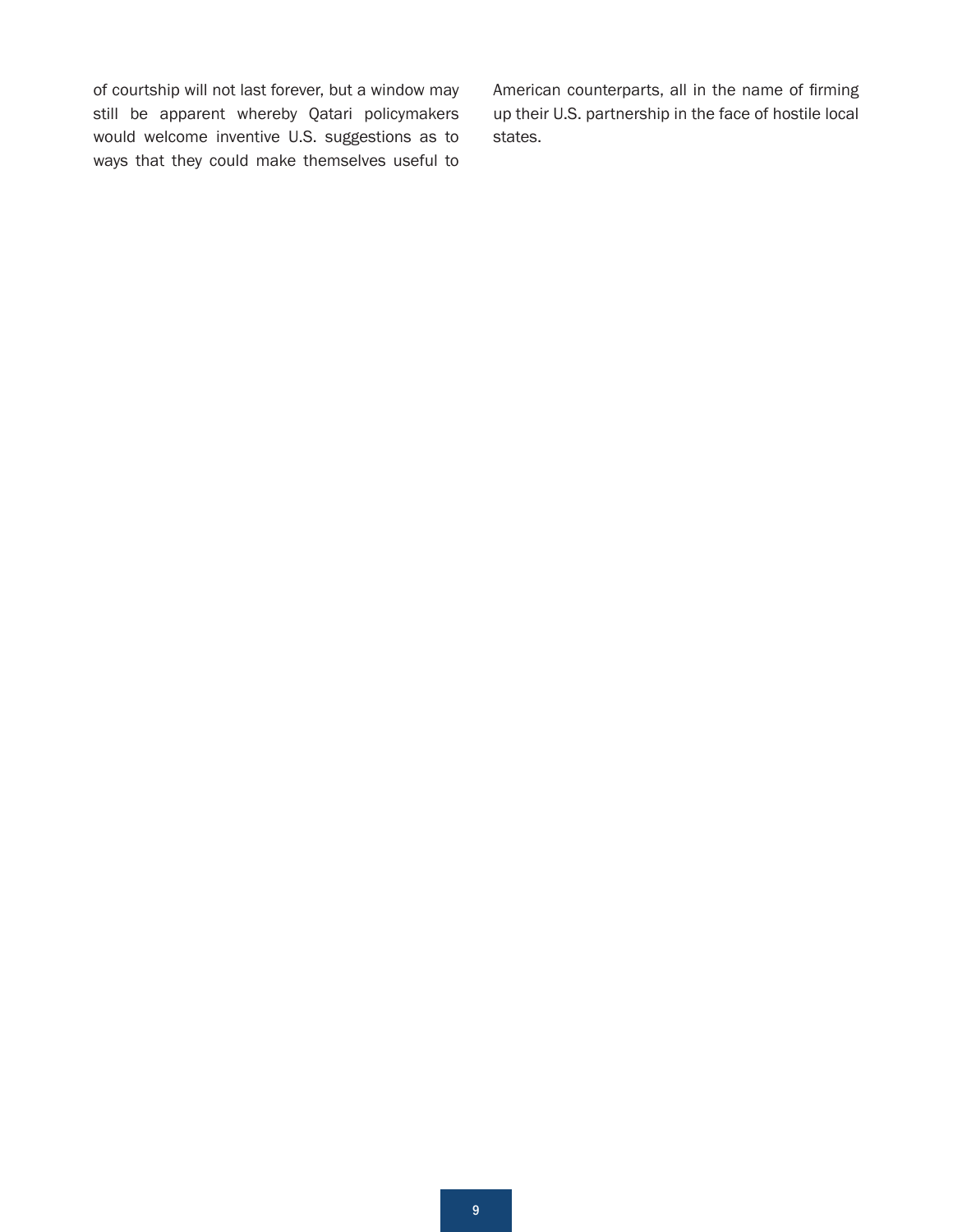of courtship will not last forever, but a window may still be apparent whereby Qatari policymakers would welcome inventive U.S. suggestions as to ways that they could make themselves useful to

American counterparts, all in the name of firming up their U.S. partnership in the face of hostile local states.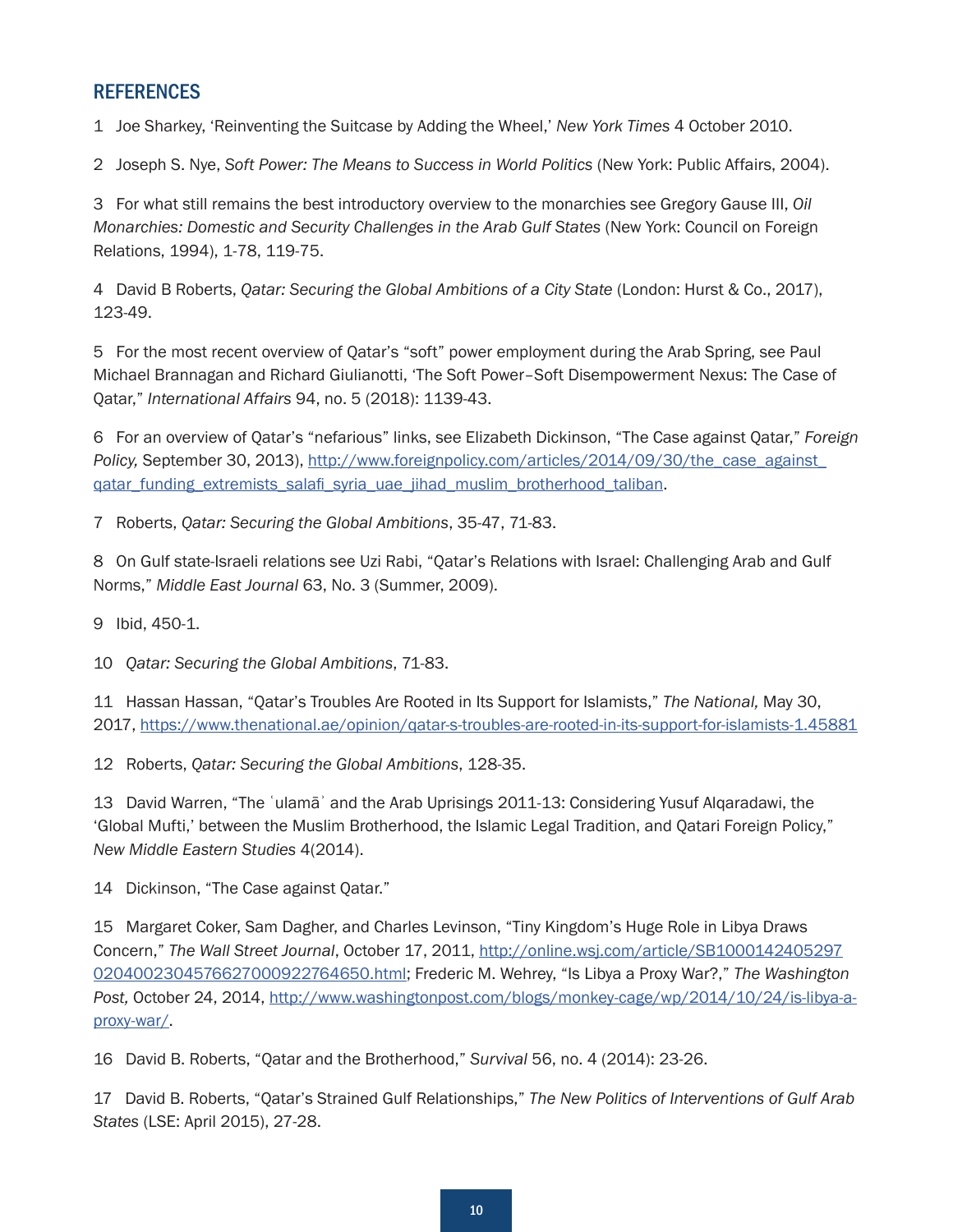# <span id="page-9-0"></span>**REFERENCES**

[1](#page-0-0) Joe Sharkey, 'Reinventing the Suitcase by Adding the Wheel,' *New York Times* 4 October 2010.

[2](#page-0-0) Joseph S. Nye, *Soft Power: The Means to Success in World Politics* (New York: Public Affairs, 2004).

[3](#page-1-0) For what still remains the best introductory overview to the monarchies see Gregory Gause III, *Oil Monarchies: Domestic and Security Challenges in the Arab Gulf States* (New York: Council on Foreign Relations, 1994), 1-78, 119-75.

[4](#page-1-0) David B Roberts, *Qatar: Securing the Global Ambitions of a City State* (London: Hurst & Co., 2017), 123-49.

[5](#page-1-0) For the most recent overview of Qatar's "soft" power employment during the Arab Spring, see Paul Michael Brannagan and Richard Giulianotti, 'The Soft Power–Soft Disempowerment Nexus: The Case of Qatar," *International Affairs* 94, no. 5 (2018): 1139-43.

[6](#page-1-0) For an overview of Qatar's "nefarious" links, see Elizabeth Dickinson, "The Case against Qatar," *Foreign*  Policy, September 30, 2013), [http://www.foreignpolicy.com/articles/2014/09/30/the\\_case\\_against\\_](http://www.foreignpolicy.com/articles/2014/09/30/the_case_against_qatar_funding_extremists_salafi_syria_uae_jihad_muslim_brotherhood_taliban) [qatar\\_funding\\_extremists\\_salafi\\_syria\\_uae\\_jihad\\_muslim\\_brotherhood\\_taliban](http://www.foreignpolicy.com/articles/2014/09/30/the_case_against_qatar_funding_extremists_salafi_syria_uae_jihad_muslim_brotherhood_taliban).

[7](#page-1-0) Roberts, *Qatar: Securing the Global Ambitions*, 35-47, 71-83.

[8](#page-1-0) On Gulf state-Israeli relations see Uzi Rabi, "Qatar's Relations with Israel: Challenging Arab and Gulf Norms," *Middle East Journal* 63, No. 3 (Summer, 2009).

[9](#page-1-0) Ibid, 450-1.

[10](#page-1-0) *Qatar: Securing the Global Ambitions*, 71-83.

[11](#page-2-0) Hassan Hassan, "Qatar's Troubles Are Rooted in Its Support for Islamists," *The National,* May 30, 2017,<https://www.thenational.ae/opinion/qatar-s-troubles-are-rooted-in-its-support-for-islamists-1.45881>

[12](#page-2-0) Roberts, *Qatar: Securing the Global Ambitions*, 128-35.

[13](#page-2-0) David Warren, "The ʿulamāʾ and the Arab Uprisings 2011-13: Considering Yusuf Alqaradawi, the 'Global Mufti,' between the Muslim Brotherhood, the Islamic Legal Tradition, and Qatari Foreign Policy," *New Middle Eastern Studies* 4(2014).

[14](#page-2-0) Dickinson, "The Case against Qatar."

[15](#page-2-0) Margaret Coker, Sam Dagher, and Charles Levinson, "Tiny Kingdom's Huge Role in Libya Draws Concern," *The Wall Street Journal*, October 17, 2011, [http://online.wsj.com/article/SB1000142405297](http://online.wsj.com/article/SB10001424052970204002304576627000922764650.html) [0204002304576627000922764650.html](http://online.wsj.com/article/SB10001424052970204002304576627000922764650.html); Frederic M. Wehrey, "Is Libya a Proxy War?," *The Washington Post,* October 24, 2014, [http://www.washingtonpost.com/blogs/monkey-cage/wp/2014/10/24/is-libya-a](http://www.washingtonpost.com/blogs/monkey-cage/wp/2014/10/24/is-libya-a-proxy-war/)[proxy-war/](http://www.washingtonpost.com/blogs/monkey-cage/wp/2014/10/24/is-libya-a-proxy-war/).

[16](#page-2-0) David B. Roberts, "Qatar and the Brotherhood," *Survival* 56, no. 4 (2014): 23-26.

[17](#page-2-0) David B. Roberts, "Qatar's Strained Gulf Relationships," *The New Politics of Interventions of Gulf Arab States* (LSE: April 2015), 27-28.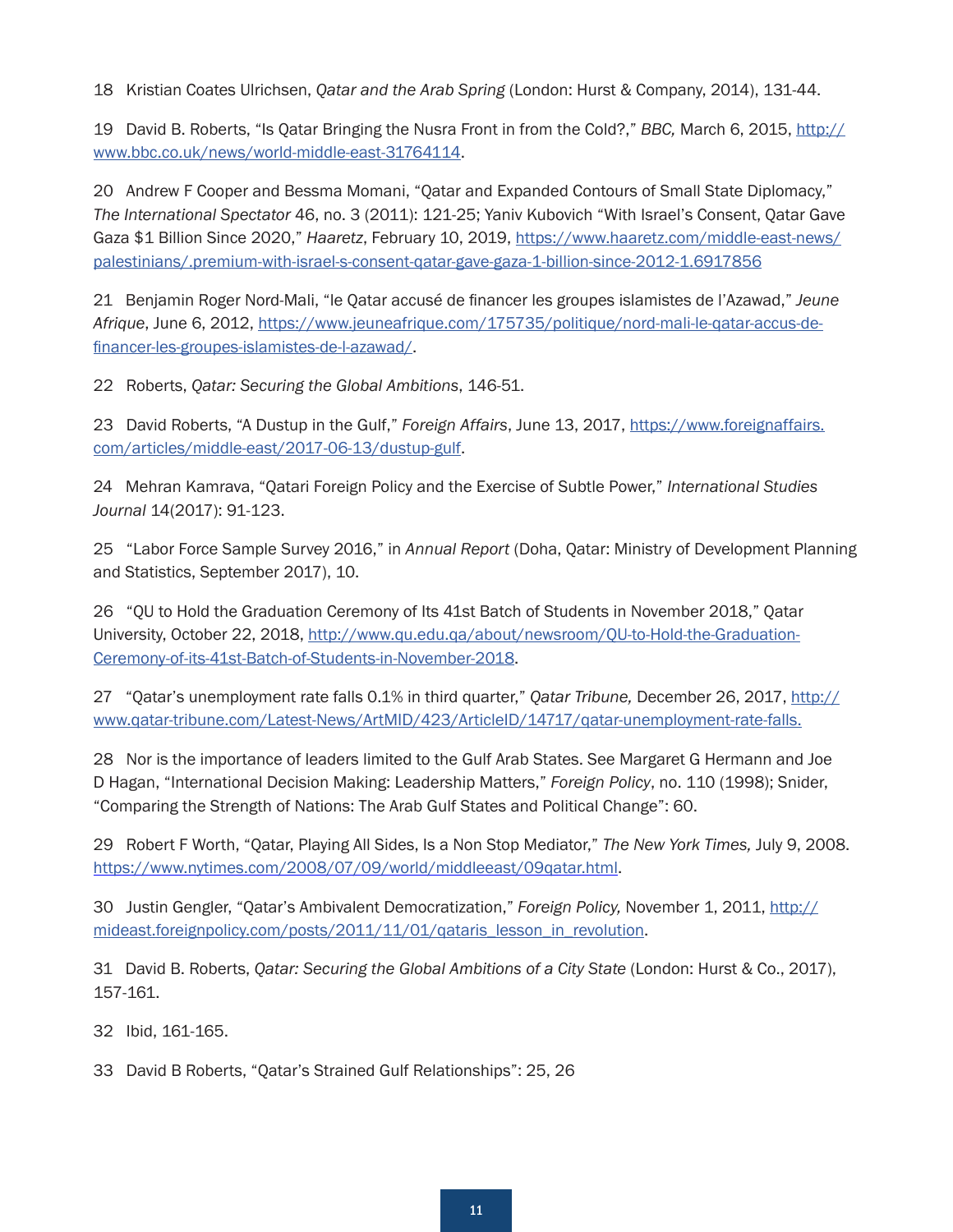<span id="page-10-0"></span>[18](#page-3-0) Kristian Coates Ulrichsen, *Qatar and the Arab Spring* (London: Hurst & Company, 2014), 131-44.

[19](#page-3-0) David B. Roberts, "Is Qatar Bringing the Nusra Front in from the Cold?," *BBC,* March 6, 2015, [http://](http://www.bbc.co.uk/news/world-middle-east-31764114) [www.bbc.co.uk/news/world-middle-east-31764114](http://www.bbc.co.uk/news/world-middle-east-31764114).

[20](#page-3-0) Andrew F Cooper and Bessma Momani, "Qatar and Expanded Contours of Small State Diplomacy," *The International Spectator* 46, no. 3 (2011): 121-25; Yaniv Kubovich "With Israel's Consent, Qatar Gave Gaza \$1 Billion Since 2020," *Haaretz*, February 10, 2019, [https://www.haaretz.com/middle-east-news/](https://www.haaretz.com/middle-east-news/palestinians/.premium-with-israel-s-consent-qatar-gave-gaza-1-billion-since-2012-1.6917856) [palestinians/.premium-with-israel-s-consent-qatar-gave-gaza-1-billion-since-2012-1.6917856](https://www.haaretz.com/middle-east-news/palestinians/.premium-with-israel-s-consent-qatar-gave-gaza-1-billion-since-2012-1.6917856)

[21](#page-3-0) Benjamin Roger Nord-Mali, "le Qatar accusé de financer les groupes islamistes de l'Azawad," *Jeune Afrique*, June 6, 2012, [https://www.jeuneafrique.com/175735/politique/nord-mali-le-qatar-accus-de](https://www.jeuneafrique.com/175735/politique/nord-mali-le-qatar-accus-de-financer-les-groupes-islamistes-de-l-azawad/)[financer-les-groupes-islamistes-de-l-azawad/](https://www.jeuneafrique.com/175735/politique/nord-mali-le-qatar-accus-de-financer-les-groupes-islamistes-de-l-azawad/).

[22](#page-3-0) Roberts, *Qatar: Securing the Global Ambitions*, 146-51.

[23](#page-3-0) David Roberts, "A Dustup in the Gulf," *Foreign Affairs*, June 13, 2017, [https://www.foreignaffairs.](https://www.foreignaffairs.com/articles/middle-east/2017-06-13/dustup-gulf) [com/articles/middle-east/2017-06-13/dustup-gulf](https://www.foreignaffairs.com/articles/middle-east/2017-06-13/dustup-gulf).

[24](#page-4-0) Mehran Kamrava, "Qatari Foreign Policy and the Exercise of Subtle Power," *International Studies Journal* 14(2017): 91-123.

[25](#page-4-0) "Labor Force Sample Survey 2016," in *Annual Report* (Doha, Qatar: Ministry of Development Planning and Statistics, September 2017), 10.

[26](#page-4-0) "QU to Hold the Graduation Ceremony of Its 41st Batch of Students in November 2018," Qatar University, October 22, 2018, [http://www.qu.edu.qa/about/newsroom/QU-to-Hold-the-Graduation-](http://www.qu.edu.qa/about/newsroom/QU-to-Hold-the-Graduation-Ceremony-of-its-41st-Batch-of-Students-in-November-2018)[Ceremony-of-its-41st-Batch-of-Students-in-November-2018](http://www.qu.edu.qa/about/newsroom/QU-to-Hold-the-Graduation-Ceremony-of-its-41st-Batch-of-Students-in-November-2018).

[27](#page-4-0) "Qatar's unemployment rate falls 0.1% in third quarter," *Qatar Tribune,* December 26, 2017, [http://](http://www.qatar-tribune.com/Latest-News/ArtMID/423/ArticleID/14717/qatar-unemployment-rate-falls) [www.qatar-tribune.com/Latest-News/ArtMID/423/ArticleID/14717/qatar-unemployment-rate-falls](http://www.qatar-tribune.com/Latest-News/ArtMID/423/ArticleID/14717/qatar-unemployment-rate-falls).

[28](#page-4-0) Nor is the importance of leaders limited to the Gulf Arab States. See Margaret G Hermann and Joe D Hagan, "International Decision Making: Leadership Matters," *Foreign Policy*, no. 110 (1998); Snider, "Comparing the Strength of Nations: The Arab Gulf States and Political Change": 60.

[29](#page-4-0) Robert F Worth, "Qatar, Playing All Sides, Is a Non Stop Mediator," *The New York Times,* July 9, 2008. <https://www.nytimes.com/2008/07/09/world/middleeast/09qatar.html>.

[30](#page-5-0) Justin Gengler, "Qatar's Ambivalent Democratization," *Foreign Policy,* November 1, 2011, [http://](http://mideast.foreignpolicy.com/posts/2011/11/01/qataris_lesson_in_revolution) [mideast.foreignpolicy.com/posts/2011/11/01/qataris\\_lesson\\_in\\_revolution](http://mideast.foreignpolicy.com/posts/2011/11/01/qataris_lesson_in_revolution).

[31](#page-5-0) David B. Roberts, *Qatar: Securing the Global Ambitions of a City State* (London: Hurst & Co., 2017), 157-161.

[32](#page-5-0) Ibid, 161-165.

[33](#page-5-0) David B Roberts, "Qatar's Strained Gulf Relationships": 25, 26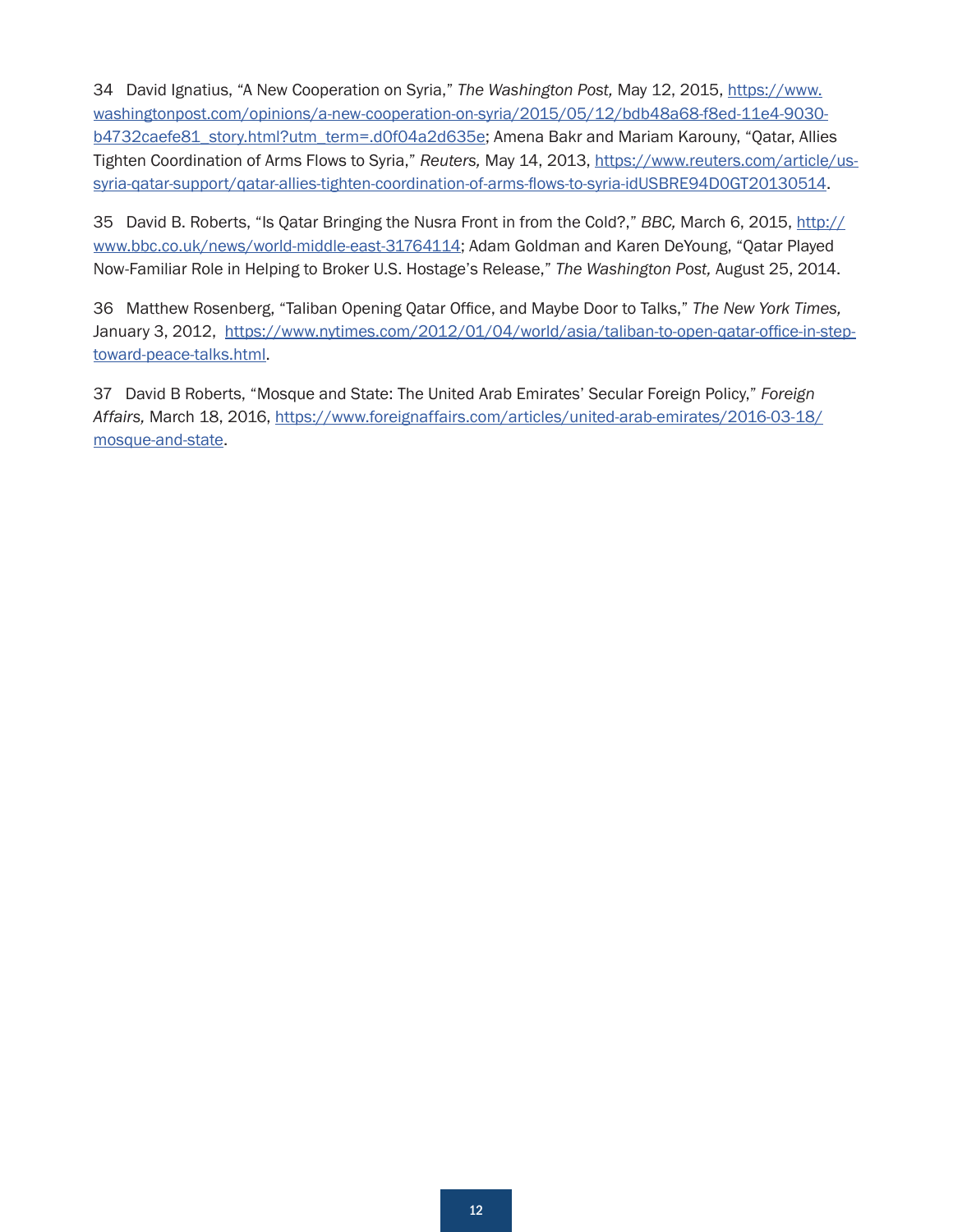<span id="page-11-0"></span>[34](#page-6-0) David Ignatius, "A New Cooperation on Syria," *The Washington Post,* May 12, 2015, [https://www.](https://www.washingtonpost.com/opinions/a-new-cooperation-on-syria/2015/05/12/bdb48a68-f8ed-11e4-9030-b4732caefe81_story.html?utm_term=.d0f04a2d635e) [washingtonpost.com/opinions/a-new-cooperation-on-syria/2015/05/12/bdb48a68-f8ed-11e4-9030](https://www.washingtonpost.com/opinions/a-new-cooperation-on-syria/2015/05/12/bdb48a68-f8ed-11e4-9030-b4732caefe81_story.html?utm_term=.d0f04a2d635e) [b4732caefe81\\_story.html?utm\\_term=.d0f04a2d635e;](https://www.washingtonpost.com/opinions/a-new-cooperation-on-syria/2015/05/12/bdb48a68-f8ed-11e4-9030-b4732caefe81_story.html?utm_term=.d0f04a2d635e) Amena Bakr and Mariam Karouny, "Qatar, Allies Tighten Coordination of Arms Flows to Syria," *Reuters,* May 14, 2013, [https://www.reuters.com/article/us](https://www.reuters.com/article/us-syria-qatar-support/qatar-allies-tighten-coordination-of-arms-flows-to-syria-idUSBRE94D0GT20130514)[syria-qatar-support/qatar-allies-tighten-coordination-of-arms-flows-to-syria-idUSBRE94D0GT20130514](https://www.reuters.com/article/us-syria-qatar-support/qatar-allies-tighten-coordination-of-arms-flows-to-syria-idUSBRE94D0GT20130514).

[35](#page-6-0) David B. Roberts, "Is Qatar Bringing the Nusra Front in from the Cold?," *BBC,* March 6, 2015, [http://](http://www.bbc.co.uk/news/world-middle-east-31764114) [www.bbc.co.uk/news/world-middle-east-31764114](http://www.bbc.co.uk/news/world-middle-east-31764114); Adam Goldman and Karen DeYoung, "Qatar Played Now-Familiar Role in Helping to Broker U.S. Hostage's Release," *The Washington Post,* August 25, 2014.

[36](#page-6-0) Matthew Rosenberg, "Taliban Opening Qatar Office, and Maybe Door to Talks," *The New York Times,* January 3, 2012, [https://www.nytimes.com/2012/01/04/world/asia/taliban-to-open-qatar-office-in-step](https://www.nytimes.com/2012/01/04/world/asia/taliban-to-open-qatar-office-in-step-toward-peace-talks.html)[toward-peace-talks.html](https://www.nytimes.com/2012/01/04/world/asia/taliban-to-open-qatar-office-in-step-toward-peace-talks.html).

[37](#page-7-0) David B Roberts, "Mosque and State: The United Arab Emirates' Secular Foreign Policy," *Foreign Affairs,* March 18, 2016, [https://www.foreignaffairs.com/articles/united-arab-emirates/2016-03-18/](https://www.foreignaffairs.com/articles/united-arab-emirates/2016-03-18/mosque-and-state) [mosque-and-state](https://www.foreignaffairs.com/articles/united-arab-emirates/2016-03-18/mosque-and-state).